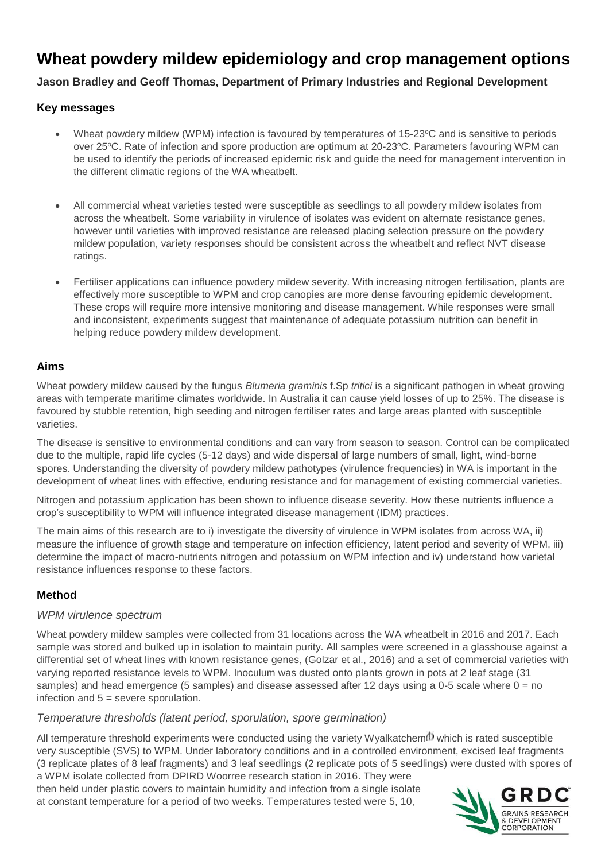# **Wheat powdery mildew epidemiology and crop management options**

# **Jason Bradley and Geoff Thomas, Department of Primary Industries and Regional Development**

## **Key messages**

- Wheat powdery mildew (WPM) infection is favoured by temperatures of 15-23°C and is sensitive to periods over 25°C. Rate of infection and spore production are optimum at 20-23°C. Parameters favouring WPM can be used to identify the periods of increased epidemic risk and guide the need for management intervention in the different climatic regions of the WA wheatbelt.
- All commercial wheat varieties tested were susceptible as seedlings to all powdery mildew isolates from across the wheatbelt. Some variability in virulence of isolates was evident on alternate resistance genes, however until varieties with improved resistance are released placing selection pressure on the powdery mildew population, variety responses should be consistent across the wheatbelt and reflect NVT disease ratings.
- Fertiliser applications can influence powdery mildew severity. With increasing nitrogen fertilisation, plants are effectively more susceptible to WPM and crop canopies are more dense favouring epidemic development. These crops will require more intensive monitoring and disease management. While responses were small and inconsistent, experiments suggest that maintenance of adequate potassium nutrition can benefit in helping reduce powdery mildew development.

## **Aims**

Wheat powdery mildew caused by the fungus *Blumeria graminis* f.Sp *tritici* is a significant pathogen in wheat growing areas with temperate maritime climates worldwide. In Australia it can cause yield losses of up to 25%. The disease is favoured by stubble retention, high seeding and nitrogen fertiliser rates and large areas planted with susceptible varieties.

The disease is sensitive to environmental conditions and can vary from season to season. Control can be complicated due to the multiple, rapid life cycles (5-12 days) and wide dispersal of large numbers of small, light, wind-borne spores. Understanding the diversity of powdery mildew pathotypes (virulence frequencies) in WA is important in the development of wheat lines with effective, enduring resistance and for management of existing commercial varieties.

Nitrogen and potassium application has been shown to influence disease severity. How these nutrients influence a crop's susceptibility to WPM will influence integrated disease management (IDM) practices.

The main aims of this research are to i) investigate the diversity of virulence in WPM isolates from across WA, ii) measure the influence of growth stage and temperature on infection efficiency, latent period and severity of WPM, iii) determine the impact of macro-nutrients nitrogen and potassium on WPM infection and iv) understand how varietal resistance influences response to these factors.

# **Method**

## *WPM virulence spectrum*

Wheat powdery mildew samples were collected from 31 locations across the WA wheatbelt in 2016 and 2017. Each sample was stored and bulked up in isolation to maintain purity. All samples were screened in a glasshouse against a differential set of wheat lines with known resistance genes, (Golzar et al., 2016) and a set of commercial varieties with varying reported resistance levels to WPM. Inoculum was dusted onto plants grown in pots at 2 leaf stage (31 samples) and head emergence (5 samples) and disease assessed after 12 days using a 0-5 scale where 0 = no infection and 5 = severe sporulation.

## *Temperature thresholds (latent period, sporulation, spore germination)*

All temperature threshold experiments were conducted using the variety Wyalkatchem<sup>(1)</sup> which is rated susceptible very susceptible (SVS) to WPM. Under laboratory conditions and in a controlled environment, excised leaf fragments (3 replicate plates of 8 leaf fragments) and 3 leaf seedlings (2 replicate pots of 5 seedlings) were dusted with spores of a WPM isolate collected from DPIRD Woorree research station in 2016. They were

then held under plastic covers to maintain humidity and infection from a single isolate at constant temperature for a period of two weeks. Temperatures tested were 5, 10,

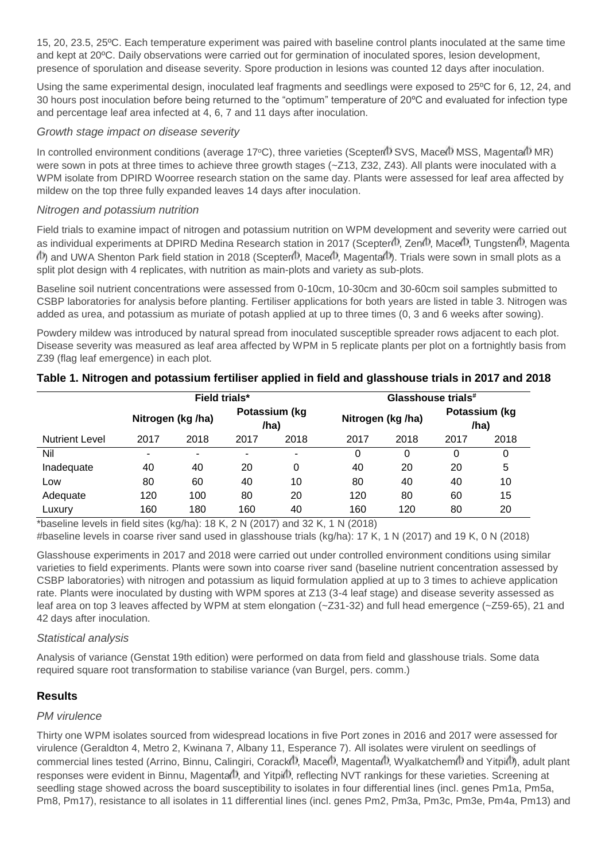15, 20, 23.5, 25ºC. Each temperature experiment was paired with baseline control plants inoculated at the same time and kept at 20ºC. Daily observations were carried out for germination of inoculated spores, lesion development, presence of sporulation and disease severity. Spore production in lesions was counted 12 days after inoculation.

Using the same experimental design, inoculated leaf fragments and seedlings were exposed to 25ºC for 6, 12, 24, and 30 hours post inoculation before being returned to the "optimum" temperature of 20ºC and evaluated for infection type and percentage leaf area infected at 4, 6, 7 and 11 days after inoculation.

#### *Growth stage impact on disease severity*

In controlled environment conditions (average 17°C), three varieties (Scepter(I) SVS, Mace(I) MSS, Magenta II MR) were sown in pots at three times to achieve three growth stages (~Z13, Z32, Z43). All plants were inoculated with a WPM isolate from DPIRD Woorree research station on the same day. Plants were assessed for leaf area affected by mildew on the top three fully expanded leaves 14 days after inoculation.

#### *Nitrogen and potassium nutrition*

Field trials to examine impact of nitrogen and potassium nutrition on WPM development and severity were carried out as individual experiments at DPIRD Medina Research station in 2017 (Scepter , Zen , Mace I, Tungsten I, Magenta  $\langle$ b) and UWA Shenton Park field station in 2018 (Scepter $\langle$ b, Mace $\langle$ b, Magenta $\langle$ b). Trials were sown in small plots as a split plot design with 4 replicates, with nutrition as main-plots and variety as sub-plots.

Baseline soil nutrient concentrations were assessed from 0-10cm, 10-30cm and 30-60cm soil samples submitted to CSBP laboratories for analysis before planting. Fertiliser applications for both years are listed in table 3. Nitrogen was added as urea, and potassium as muriate of potash applied at up to three times (0, 3 and 6 weeks after sowing).

Powdery mildew was introduced by natural spread from inoculated susceptible spreader rows adjacent to each plot. Disease severity was measured as leaf area affected by WPM in 5 replicate plants per plot on a fortnightly basis from Z39 (flag leaf emergence) in each plot.

|                       | Field trials*     |      |                       |      | Glasshouse trials# |      |                       |      |
|-----------------------|-------------------|------|-----------------------|------|--------------------|------|-----------------------|------|
|                       | Nitrogen (kg /ha) |      | Potassium (kg<br>/ha) |      | Nitrogen (kg /ha)  |      | Potassium (kg<br>/ha) |      |
| <b>Nutrient Level</b> | 2017              | 2018 | 2017                  | 2018 | 2017               | 2018 | 2017                  | 2018 |
| Nil                   | ٠                 | ۰    |                       | -    | 0                  | 0    | 0                     | 0    |
| Inadequate            | 40                | 40   | 20                    | 0    | 40                 | 20   | 20                    | 5    |
| Low                   | 80                | 60   | 40                    | 10   | 80                 | 40   | 40                    | 10   |
| Adequate              | 120               | 100  | 80                    | 20   | 120                | 80   | 60                    | 15   |
| Luxury                | 160               | 180  | 160                   | 40   | 160                | 120  | 80                    | 20   |

**Table 1. Nitrogen and potassium fertiliser applied in field and glasshouse trials in 2017 and 2018**

\*baseline levels in field sites (kg/ha): 18 K, 2 N (2017) and 32 K, 1 N (2018)

#baseline levels in coarse river sand used in glasshouse trials (kg/ha): 17 K, 1 N (2017) and 19 K, 0 N (2018)

Glasshouse experiments in 2017 and 2018 were carried out under controlled environment conditions using similar varieties to field experiments. Plants were sown into coarse river sand (baseline nutrient concentration assessed by CSBP laboratories) with nitrogen and potassium as liquid formulation applied at up to 3 times to achieve application rate. Plants were inoculated by dusting with WPM spores at Z13 (3-4 leaf stage) and disease severity assessed as leaf area on top 3 leaves affected by WPM at stem elongation (~Z31-32) and full head emergence (~Z59-65), 21 and 42 days after inoculation.

## *Statistical analysis*

Analysis of variance (Genstat 19th edition) were performed on data from field and glasshouse trials. Some data required square root transformation to stabilise variance (van Burgel, pers. comm.)

# **Results**

## *PM virulence*

Thirty one WPM isolates sourced from widespread locations in five Port zones in 2016 and 2017 were assessed for virulence (Geraldton 4, Metro 2, Kwinana 7, Albany 11, Esperance 7). All isolates were virulent on seedlings of commercial lines tested (Arrino, Binnu, Calingiri, Corack<sup>(I)</sup>, Mace<sup>(I)</sup>, Magenta<sup>(I)</sup>, Wyalkatchem<sup>(I)</sup> and Yitpi<sup>(I)</sup>), adult plant responses were evident in Binnu, Magenta<sup>(1)</sup>, and Yitpi<sup>(1)</sup>, reflecting NVT rankings for these varieties. Screening at seedling stage showed across the board susceptibility to isolates in four differential lines (incl. genes Pm1a, Pm5a, Pm8, Pm17), resistance to all isolates in 11 differential lines (incl. genes Pm2, Pm3a, Pm3c, Pm3e, Pm4a, Pm13) and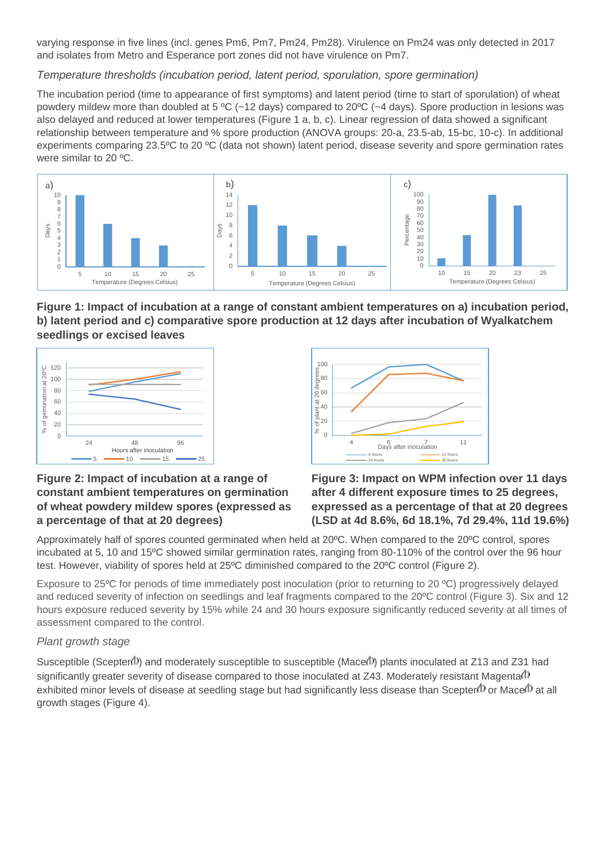varying response in five lines (incl. genes Pm6, Pm7, Pm24, Pm28). Virulence on Pm24 was only detected in 2017 and isolates from Metro and Esperance port zones did not have virulence on Pm7.

# *Temperature thresholds (incubation period, latent period, sporulation, spore germination)*

The incubation period (time to appearance of first symptoms) and latent period (time to start of sporulation) of wheat powdery mildew more than doubled at 5 ºC (~12 days) compared to 20ºC (~4 days). Spore production in lesions was also delayed and reduced at lower temperatures (Figure 1 a, b, c). Linear regression of data showed a significant relationship between temperature and % spore production (ANOVA groups: 20-a, 23.5-ab, 15-bc, 10-c). In additional experiments comparing 23.5ºC to 20 ºC (data not shown) latent period, disease severity and spore germination rates were similar to 20 ºC.



**Figure 1: Impact of incubation at a range of constant ambient temperatures on a) incubation period, b) latent period and c) comparative spore production at 12 days after incubation of Wyalkatchem seedlings or excised leaves** 





# **Figure 2: Impact of incubation at a range of constant ambient temperatures on germination of wheat powdery mildew spores (expressed as a percentage of that at 20 degrees)**

**Figure 3: Impact on WPM infection over 11 days after 4 different exposure times to 25 degrees, expressed as a percentage of that at 20 degrees (LSD at 4d 8.6%, 6d 18.1%, 7d 29.4%, 11d 19.6%)**

Approximately half of spores counted germinated when held at 20ºC. When compared to the 20ºC control, spores incubated at 5, 10 and 15ºC showed similar germination rates, ranging from 80-110% of the control over the 96 hour test. However, viability of spores held at 25ºC diminished compared to the 20ºC control (Figure 2).

Exposure to 25ºC for periods of time immediately post inoculation (prior to returning to 20 ºC) progressively delayed and reduced severity of infection on seedlings and leaf fragments compared to the 20ºC control (Figure 3). Six and 12 hours exposure reduced severity by 15% while 24 and 30 hours exposure significantly reduced severity at all times of assessment compared to the control.

# *Plant growth stage*

Susceptible (Scepter<sup>(1)</sup>) and moderately susceptible to susceptible (Mace<sup>(1)</sup>) plants inoculated at Z13 and Z31 had significantly greater severity of disease compared to those inoculated at Z43. Moderately resistant Magenta(1) exhibited minor levels of disease at seedling stage but had significantly less disease than Scepter $\Phi$  or Mace  $\Phi$  at all growth stages (Figure 4).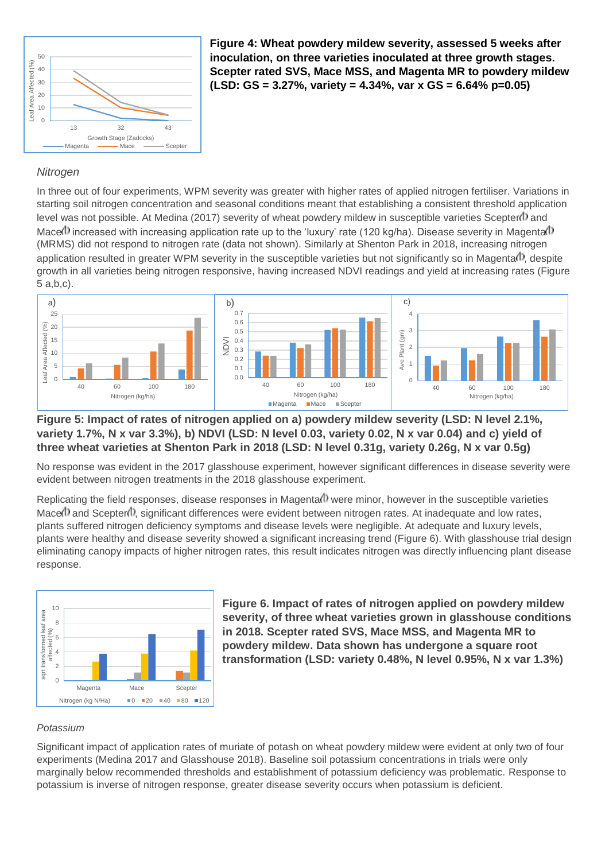

**Figure 4: Wheat powdery mildew severity, assessed 5 weeks after inoculation, on three varieties inoculated at three growth stages. Scepter rated SVS, Mace MSS, and Magenta MR to powdery mildew (LSD: GS = 3.27%, variety = 4.34%, var x GS = 6.64% p=0.05)**

#### *Nitrogen*

In three out of four experiments, WPM severity was greater with higher rates of applied nitrogen fertiliser. Variations in starting soil nitrogen concentration and seasonal conditions meant that establishing a consistent threshold application level was not possible. At Medina (2017) severity of wheat powdery mildew in susceptible varieties Scepter<sup>(1)</sup> and Mace $\Phi$  increased with increasing application rate up to the 'luxury' rate (120 kg/ha). Disease severity in Magenta $\Phi$ (MRMS) did not respond to nitrogen rate (data not shown). Similarly at Shenton Park in 2018, increasing nitrogen application resulted in greater WPM severity in the susceptible varieties but not significantly so in Magenta $\Phi$ , despite growth in all varieties being nitrogen responsive, having increased NDVI readings and yield at increasing rates (Figure 5 a,b,c).



# **Figure 5: Impact of rates of nitrogen applied on a) powdery mildew severity (LSD: N level 2.1%, variety 1.7%, N x var 3.3%), b) NDVI (LSD: N level 0.03, variety 0.02, N x var 0.04) and c) yield of three wheat varieties at Shenton Park in 2018 (LSD: N level 0.31g, variety 0.26g, N x var 0.5g)**

No response was evident in the 2017 glasshouse experiment, however significant differences in disease severity were evident between nitrogen treatments in the 2018 glasshouse experiment.

Replicating the field responses, disease responses in Magenta $\Phi$  were minor, however in the susceptible varieties Mace $\Phi$  and Scepter $\Phi$ , significant differences were evident between nitrogen rates. At inadequate and low rates, plants suffered nitrogen deficiency symptoms and disease levels were negligible. At adequate and luxury levels, plants were healthy and disease severity showed a significant increasing trend (Figure 6). With glasshouse trial design eliminating canopy impacts of higher nitrogen rates, this result indicates nitrogen was directly influencing plant disease response.



**Figure 6. Impact of rates of nitrogen applied on powdery mildew severity, of three wheat varieties grown in glasshouse conditions in 2018. Scepter rated SVS, Mace MSS, and Magenta MR to powdery mildew. Data shown has undergone a square root transformation (LSD: variety 0.48%, N level 0.95%, N x var 1.3%)**

#### *Potassium*

Significant impact of application rates of muriate of potash on wheat powdery mildew were evident at only two of four experiments (Medina 2017 and Glasshouse 2018). Baseline soil potassium concentrations in trials were only marginally below recommended thresholds and establishment of potassium deficiency was problematic. Response to potassium is inverse of nitrogen response, greater disease severity occurs when potassium is deficient.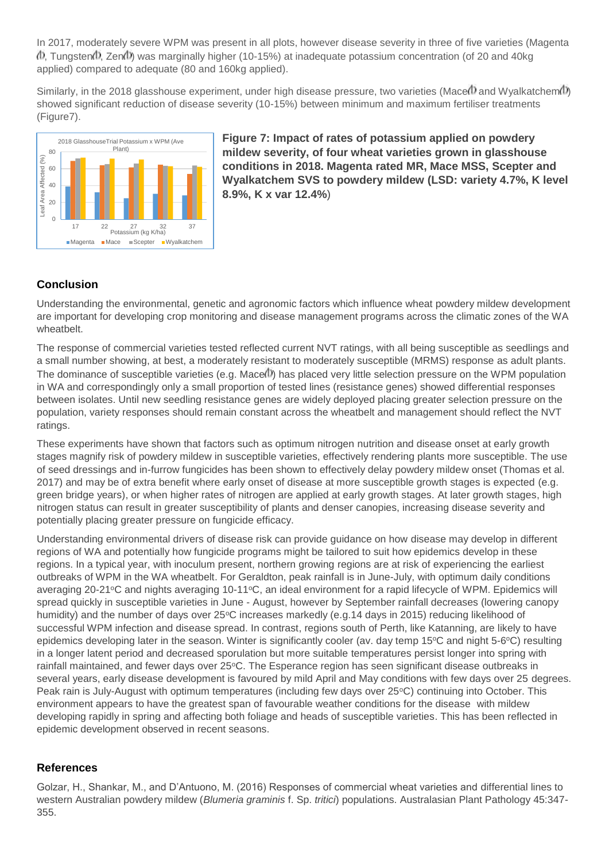In 2017, moderately severe WPM was present in all plots, however disease severity in three of five varieties (Magenta  $\Phi$ , Tungsten $\Phi$ , Zen $\Phi$ ) was marginally higher (10-15%) at inadequate potassium concentration (of 20 and 40kg) applied) compared to adequate (80 and 160kg applied).

Similarly, in the 2018 glasshouse experiment, under high disease pressure, two varieties (Mace  $\theta$ ) and Wyalkatchem  $\theta$ ) showed significant reduction of disease severity (10-15%) between minimum and maximum fertiliser treatments (Figure7).



**Figure 7: Impact of rates of potassium applied on powdery mildew severity, of four wheat varieties grown in glasshouse conditions in 2018. Magenta rated MR, Mace MSS, Scepter and Wyalkatchem SVS to powdery mildew (LSD: variety 4.7%, K level 8.9%, K x var 12.4%**)

# **Conclusion**

Understanding the environmental, genetic and agronomic factors which influence wheat powdery mildew development are important for developing crop monitoring and disease management programs across the climatic zones of the WA wheatbelt.

The response of commercial varieties tested reflected current NVT ratings, with all being susceptible as seedlings and a small number showing, at best, a moderately resistant to moderately susceptible (MRMS) response as adult plants. The dominance of susceptible varieties (e.g. Mace(I) has placed very little selection pressure on the WPM population in WA and correspondingly only a small proportion of tested lines (resistance genes) showed differential responses between isolates. Until new seedling resistance genes are widely deployed placing greater selection pressure on the population, variety responses should remain constant across the wheatbelt and management should reflect the NVT ratings.

These experiments have shown that factors such as optimum nitrogen nutrition and disease onset at early growth stages magnify risk of powdery mildew in susceptible varieties, effectively rendering plants more susceptible. The use of seed dressings and in-furrow fungicides has been shown to effectively delay powdery mildew onset (Thomas et al. 2017) and may be of extra benefit where early onset of disease at more susceptible growth stages is expected (e.g. green bridge years), or when higher rates of nitrogen are applied at early growth stages. At later growth stages, high nitrogen status can result in greater susceptibility of plants and denser canopies, increasing disease severity and potentially placing greater pressure on fungicide efficacy.

Understanding environmental drivers of disease risk can provide guidance on how disease may develop in different regions of WA and potentially how fungicide programs might be tailored to suit how epidemics develop in these regions. In a typical year, with inoculum present, northern growing regions are at risk of experiencing the earliest outbreaks of WPM in the WA wheatbelt. For Geraldton, peak rainfall is in June-July, with optimum daily conditions averaging 20-21°C and nights averaging 10-11°C, an ideal environment for a rapid lifecycle of WPM. Epidemics will spread quickly in susceptible varieties in June - August, however by September rainfall decreases (lowering canopy humidity) and the number of days over 25°C increases markedly (e.g.14 days in 2015) reducing likelihood of successful WPM infection and disease spread. In contrast, regions south of Perth, like Katanning, are likely to have epidemics developing later in the season. Winter is significantly cooler (av. day temp  $15^{\circ}$ C and night 5-6 $^{\circ}$ C) resulting in a longer latent period and decreased sporulation but more suitable temperatures persist longer into spring with rainfall maintained, and fewer days over 25°C. The Esperance region has seen significant disease outbreaks in several years, early disease development is favoured by mild April and May conditions with few days over 25 degrees. Peak rain is July-August with optimum temperatures (including few days over 25°C) continuing into October. This environment appears to have the greatest span of favourable weather conditions for the disease with mildew developing rapidly in spring and affecting both foliage and heads of susceptible varieties. This has been reflected in epidemic development observed in recent seasons.

# **References**

Golzar, H., Shankar, M., and D'Antuono, M. (2016) Responses of commercial wheat varieties and differential lines to western Australian powdery mildew (*Blumeria graminis* f. Sp. *tritici*) populations. Australasian Plant Pathology 45:347- 355.